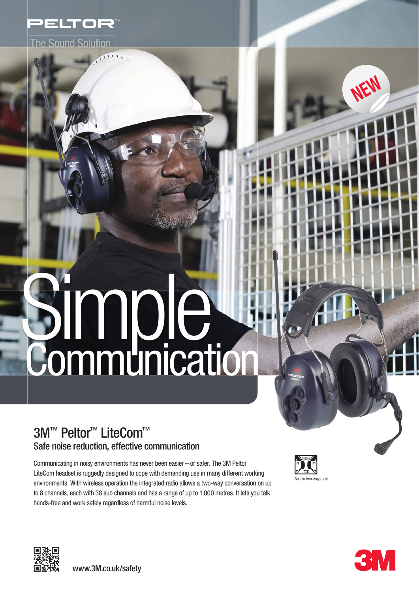

**The Sound Solution** 

# Simple, **Communication**

# 3M™ Peltor<sup>™</sup> LiteCom™ Safe noise reduction, effective communication

Communicating in noisy environments has never been easier – or safer. The 3M Peltor LiteCom headset is ruggedly designed to cope with demanding use in many different working environments. With wireless operation the integrated radio allows a two-way conversation on up to 8 channels, each with 38 sub channels and has a range of up to 1,000 metres. It lets you talk hands-free and work safely regardless of harmful noise levels.







**NEW**